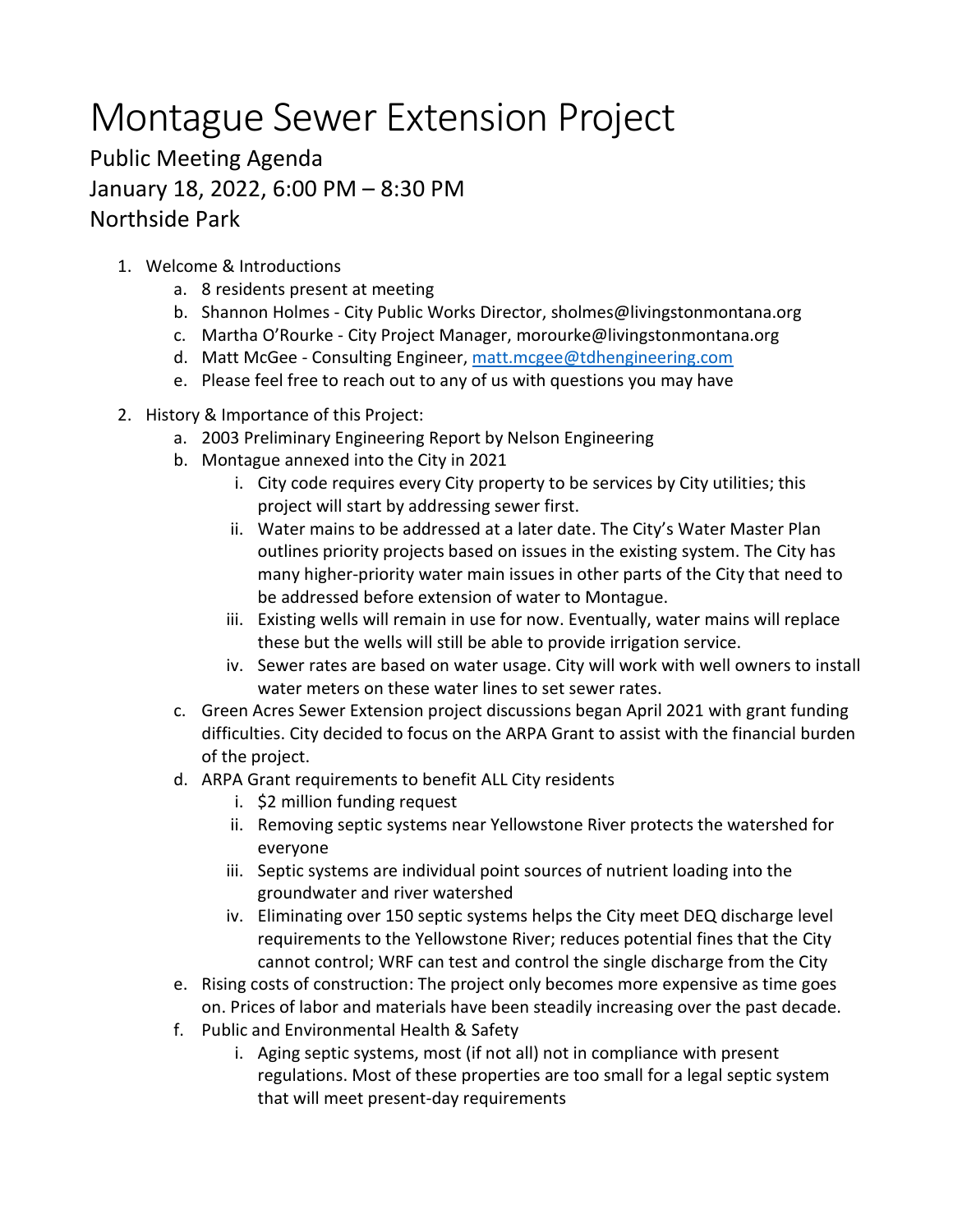## Montague Sewer Extension Project

## Public Meeting Agenda January 18, 2022, 6:00 PM – 8:30 PM Northside Park

- 1. Welcome & Introductions
	- a. 8 residents present at meeting
	- b. Shannon Holmes City Public Works Director, sholmes@livingstonmontana.org
	- c. Martha O'Rourke City Project Manager, morourke@livingstonmontana.org
	- d. Matt McGee Consulting Engineer, [matt.mcgee@tdhengineering.com](mailto:matt.mcgee@tdhengineering.com)
	- e. Please feel free to reach out to any of us with questions you may have
- 2. History & Importance of this Project:
	- a. 2003 Preliminary Engineering Report by Nelson Engineering
	- b. Montague annexed into the City in 2021
		- i. City code requires every City property to be services by City utilities; this project will start by addressing sewer first.
		- ii. Water mains to be addressed at a later date. The City's Water Master Plan outlines priority projects based on issues in the existing system. The City has many higher-priority water main issues in other parts of the City that need to be addressed before extension of water to Montague.
		- iii. Existing wells will remain in use for now. Eventually, water mains will replace these but the wells will still be able to provide irrigation service.
		- iv. Sewer rates are based on water usage. City will work with well owners to install water meters on these water lines to set sewer rates.
	- c. Green Acres Sewer Extension project discussions began April 2021 with grant funding difficulties. City decided to focus on the ARPA Grant to assist with the financial burden of the project.
	- d. ARPA Grant requirements to benefit ALL City residents
		- i. \$2 million funding request
		- ii. Removing septic systems near Yellowstone River protects the watershed for everyone
		- iii. Septic systems are individual point sources of nutrient loading into the groundwater and river watershed
		- iv. Eliminating over 150 septic systems helps the City meet DEQ discharge level requirements to the Yellowstone River; reduces potential fines that the City cannot control; WRF can test and control the single discharge from the City
	- e. Rising costs of construction: The project only becomes more expensive as time goes on. Prices of labor and materials have been steadily increasing over the past decade.
	- f. Public and Environmental Health & Safety
		- i. Aging septic systems, most (if not all) not in compliance with present regulations. Most of these properties are too small for a legal septic system that will meet present-day requirements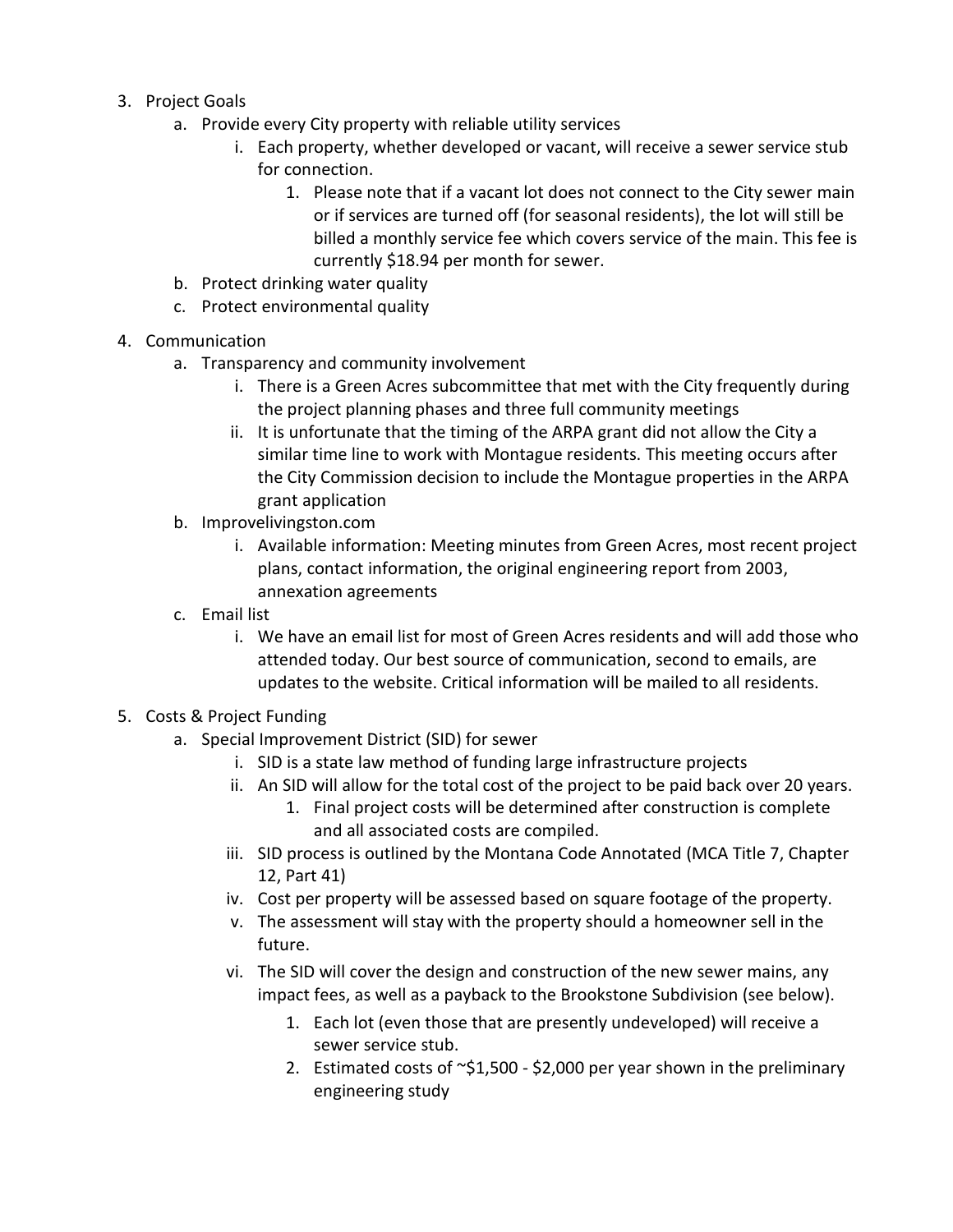- 3. Project Goals
	- a. Provide every City property with reliable utility services
		- i. Each property, whether developed or vacant, will receive a sewer service stub for connection.
			- 1. Please note that if a vacant lot does not connect to the City sewer main or if services are turned off (for seasonal residents), the lot will still be billed a monthly service fee which covers service of the main. This fee is currently \$18.94 per month for sewer.
	- b. Protect drinking water quality
	- c. Protect environmental quality
- 4. Communication
	- a. Transparency and community involvement
		- i. There is a Green Acres subcommittee that met with the City frequently during the project planning phases and three full community meetings
		- ii. It is unfortunate that the timing of the ARPA grant did not allow the City a similar time line to work with Montague residents. This meeting occurs after the City Commission decision to include the Montague properties in the ARPA grant application
	- b. Improvelivingston.com
		- i. Available information: Meeting minutes from Green Acres, most recent project plans, contact information, the original engineering report from 2003, annexation agreements
	- c. Email list
		- i. We have an email list for most of Green Acres residents and will add those who attended today. Our best source of communication, second to emails, are updates to the website. Critical information will be mailed to all residents.
- 5. Costs & Project Funding
	- a. Special Improvement District (SID) for sewer
		- i. SID is a state law method of funding large infrastructure projects
		- ii. An SID will allow for the total cost of the project to be paid back over 20 years.
			- 1. Final project costs will be determined after construction is complete and all associated costs are compiled.
		- iii. SID process is outlined by the Montana Code Annotated (MCA Title 7, Chapter 12, Part 41)
		- iv. Cost per property will be assessed based on square footage of the property.
		- v. The assessment will stay with the property should a homeowner sell in the future.
		- vi. The SID will cover the design and construction of the new sewer mains, any impact fees, as well as a payback to the Brookstone Subdivision (see below).
			- 1. Each lot (even those that are presently undeveloped) will receive a sewer service stub.
			- 2. Estimated costs of ~\$1,500 \$2,000 per year shown in the preliminary engineering study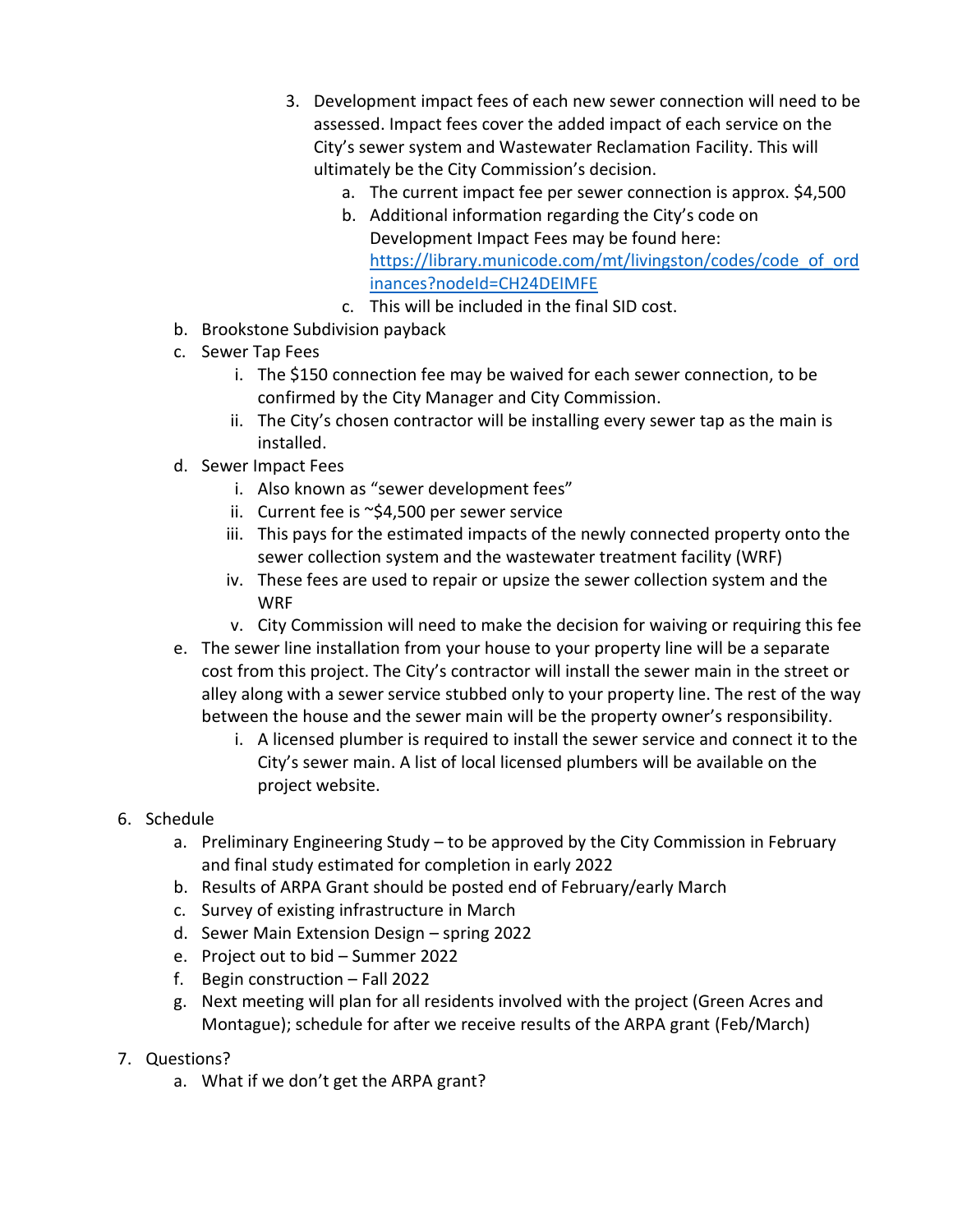- 3. Development impact fees of each new sewer connection will need to be assessed. Impact fees cover the added impact of each service on the City's sewer system and Wastewater Reclamation Facility. This will ultimately be the City Commission's decision.
	- a. The current impact fee per sewer connection is approx. \$4,500
	- b. Additional information regarding the City's code on Development Impact Fees may be found here: [https://library.municode.com/mt/livingston/codes/code\\_of\\_ord](https://library.municode.com/mt/livingston/codes/code_of_ordinances?nodeId=CH24DEIMFE) [inances?nodeId=CH24DEIMFE](https://library.municode.com/mt/livingston/codes/code_of_ordinances?nodeId=CH24DEIMFE)
	- c. This will be included in the final SID cost.
- b. Brookstone Subdivision payback
- c. Sewer Tap Fees
	- i. The \$150 connection fee may be waived for each sewer connection, to be confirmed by the City Manager and City Commission.
	- ii. The City's chosen contractor will be installing every sewer tap as the main is installed.
- d. Sewer Impact Fees
	- i. Also known as "sewer development fees"
	- ii. Current fee is ~\$4,500 per sewer service
	- iii. This pays for the estimated impacts of the newly connected property onto the sewer collection system and the wastewater treatment facility (WRF)
	- iv. These fees are used to repair or upsize the sewer collection system and the WRF
	- v. City Commission will need to make the decision for waiving or requiring this fee
- e. The sewer line installation from your house to your property line will be a separate cost from this project. The City's contractor will install the sewer main in the street or alley along with a sewer service stubbed only to your property line. The rest of the way between the house and the sewer main will be the property owner's responsibility.
	- i. A licensed plumber is required to install the sewer service and connect it to the City's sewer main. A list of local licensed plumbers will be available on the project website.
- 6. Schedule
	- a. Preliminary Engineering Study to be approved by the City Commission in February and final study estimated for completion in early 2022
	- b. Results of ARPA Grant should be posted end of February/early March
	- c. Survey of existing infrastructure in March
	- d. Sewer Main Extension Design spring 2022
	- e. Project out to bid Summer 2022
	- f. Begin construction Fall 2022
	- g. Next meeting will plan for all residents involved with the project (Green Acres and Montague); schedule for after we receive results of the ARPA grant (Feb/March)
- 7. Questions?
	- a. What if we don't get the ARPA grant?